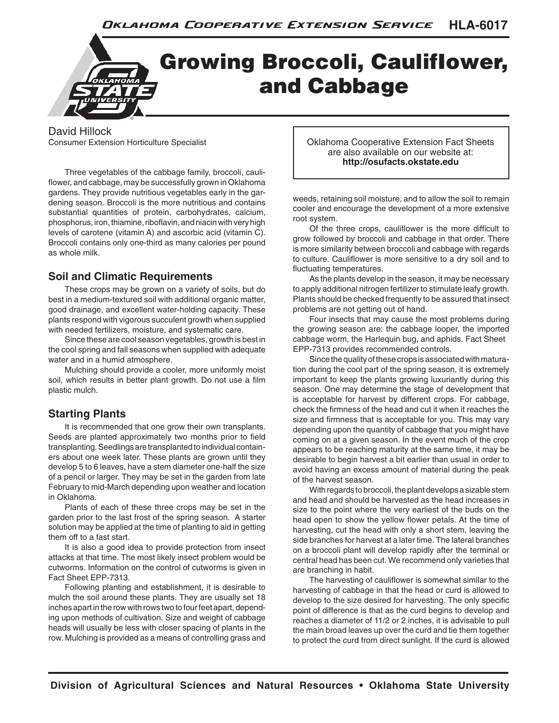## Growing Broccoli, CaulifIower, and Cabbage

David Hillock Consumer Extension Horticulture Specialist

Three vegetables of the cabbage family, broccoli, cauliflower, and cabbage, may be successfully grown in Oklahoma gardens. They provide nutritious vegetables early in the gardening season. Broccoli is the more nutritious and contains substantial quantities of protein, carbohydrates, calcium, phosphorus, iron, thiamine, riboflavin, and niacin with very high levels of carotene (vitamin A) and ascorbic acid (vitamin C). Broccoli contains only one-third as many calories per pound as whole milk.

## **Soil and Climatic Requirements**

These crops may be grown on a variety of soils, but do best in a medium-textured soil with additional organic matter, good drainage, and excellent water-holding capacity. These plants respond with vigorous succulent growth when supplied with needed fertilizers, moisture, and systematic care.

Since these are cool season vegetables, growth is best in the cool spring and fall seasons when supplied with adequate water and in a humid atmosphere.

Mulching should provide a cooler, more uniformly moist soil, which results in better plant growth. Do not use a film plastic mulch.

## **Starting Plants**

It is recommended that one grow their own transplants. Seeds are planted approximately two months prior to field transplanting. Seedlings are transplanted to individual containers about one week later. These plants are grown until they develop 5 to 6 leaves, have a stem diameter one-half the size of a pencil or larger. They may be set in the garden from late February to mid-March depending upon weather and location in Oklahoma.

Plants of each of these three crops may be set in the garden prior to the last frost of the spring season. A starter solution may be applied at the time of planting to aid in getting them off to a fast start.

It is also a good idea to provide protection from insect attacks at that time. The most likely insect problem would be cutworms. Information on the control of cutworms is given in Fact Sheet EPP-7313.

Following planting and establishment, it is desirable to mulch the soil around these plants. They are usually set 18 inches apart in the row with rows two to four feet apart, depending upon methods of cultivation. Size and weight of cabbage heads will usually be less with closer spacing of plants in the row. Mulching is provided as a means of controlling grass and

Oklahoma Cooperative Extension Fact Sheets are also available on our website at: **http://osufacts.okstate.edu**

weeds, retaining soil moisture, and to allow the soil to remain cooler and encourage the development of a more extensive root system.

Of the three crops, cauliflower is the more difficult to grow followed by broccoli and cabbage in that order. There is more similarity between broccoli and cabbage with regards to culture. Cauliflower is more sensitive to a dry soil and to fluctuating temperatures.

As the plants develop in the season, it may be necessary to apply additional nitrogen fertilizer to stimulate leafy growth. Plants should be checked frequently to be assured that insect problems are not getting out of hand.

Four insects that may cause the most problems during the growing season are: the cabbage looper, the imported cabbage worm, the Harlequin bug, and aphids. Fact Sheet EPP-7313 provides recommended controls.

Since the quality of these crops is associated with maturation during the cool part of the spring season, it is extremely important to keep the plants growing luxuriantly during this season. One may determine the stage of development that is acceptable for harvest by different crops. For cabbage, check the firmness of the head and cut it when it reaches the size and firmness that is acceptable for you. This may vary depending upon the quantity of cabbage that you might have coming on at a given season. In the event much of the crop appears to be reaching maturity at the same time, it may be desirable to begin harvest a bit earlier than usual in order to avoid having an excess amount of material during the peak of the harvest season.

With regards to broccoli, the plant develops a sizable stem and head and should be harvested as the head increases in size to the point where the very earliest of the buds on the head open to show the yellow flower petals. At the time of harvesting, cut the head with only a short stem, leaving the side branches for harvest at a later time. The lateral branches on a broccoli plant will develop rapidly after the terminal or central head has been cut. We recommend only varieties that are branching in habit.

The harvesting of cauliflower is somewhat similar to the harvesting of cabbage in that the head or curd is allowed to develop to the size desired for harvesting. The only specific point of difference is that as the curd begins to develop and reaches a diameter of 11/2 or 2 inches, it is advisable to pull the main broad leaves up over the curd and tie them together to protect the curd from direct sunlight. If the curd is allowed